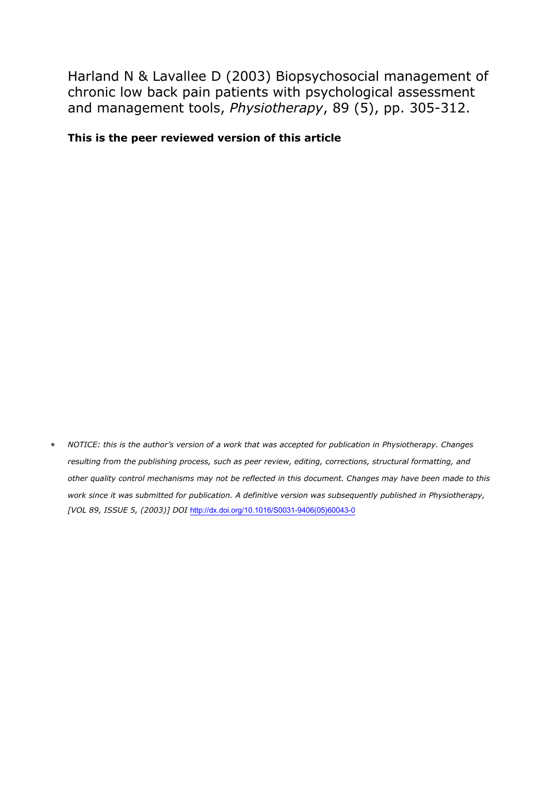Harland N & Lavallee D (2003) Biopsychosocial management of chronic low back pain patients with psychological assessment and management tools, *Physiotherapy*, 89 (5), pp. 305-312.

## **This is the peer reviewed version of this article**

 *NOTICE: this is the author's version of a work that was accepted for publication in Physiotherapy. Changes resulting from the publishing process, such as peer review, editing, corrections, structural formatting, and other quality control mechanisms may not be reflected in this document. Changes may have been made to this work since it was submitted for publication. A definitive version was subsequently published in Physiotherapy, [VOL 89, ISSUE 5, (2003)] DOI* [http://dx.doi.org/10.1016/S0031-9406\(05\)60043-0](http://dx.doi.org/10.1016/S0031-9406(05)60043-0)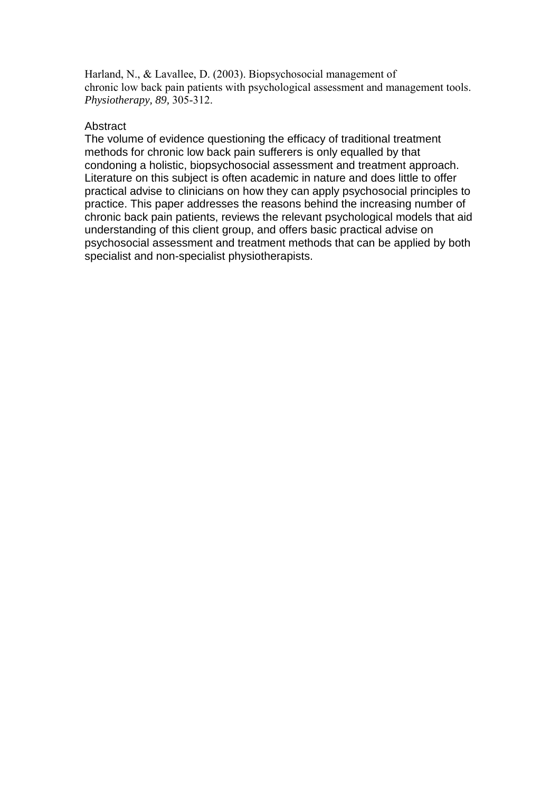Harland, N., & Lavallee, D. (2003). Biopsychosocial management of chronic low back pain patients with psychological assessment and management tools. *Physiotherapy, 89,* 305-312.

# **Abstract**

The volume of evidence questioning the efficacy of traditional treatment methods for chronic low back pain sufferers is only equalled by that condoning a holistic, biopsychosocial assessment and treatment approach. Literature on this subject is often academic in nature and does little to offer practical advise to clinicians on how they can apply psychosocial principles to practice. This paper addresses the reasons behind the increasing number of chronic back pain patients, reviews the relevant psychological models that aid understanding of this client group, and offers basic practical advise on psychosocial assessment and treatment methods that can be applied by both specialist and non-specialist physiotherapists.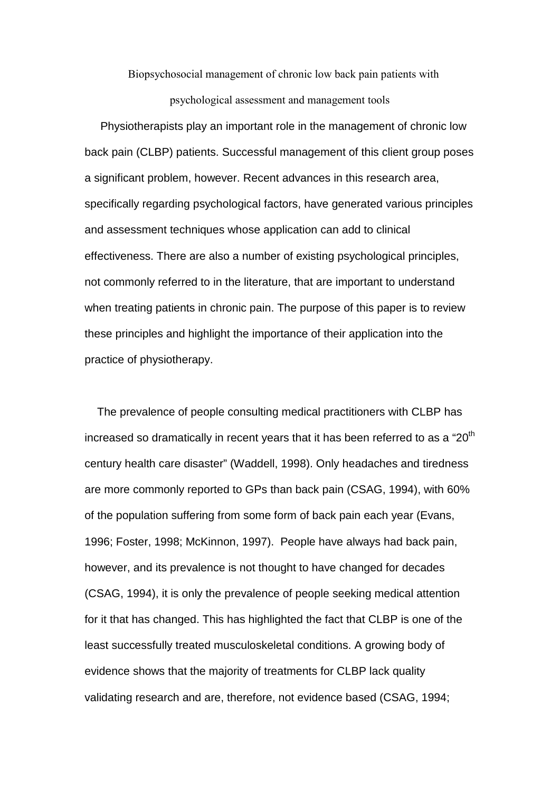Biopsychosocial management of chronic low back pain patients with

### psychological assessment and management tools

 Physiotherapists play an important role in the management of chronic low back pain (CLBP) patients. Successful management of this client group poses a significant problem, however. Recent advances in this research area, specifically regarding psychological factors, have generated various principles and assessment techniques whose application can add to clinical effectiveness. There are also a number of existing psychological principles, not commonly referred to in the literature, that are important to understand when treating patients in chronic pain. The purpose of this paper is to review these principles and highlight the importance of their application into the practice of physiotherapy.

 The prevalence of people consulting medical practitioners with CLBP has increased so dramatically in recent years that it has been referred to as a "20<sup>th</sup> century health care disaster" (Waddell, 1998). Only headaches and tiredness are more commonly reported to GPs than back pain (CSAG, 1994), with 60% of the population suffering from some form of back pain each year (Evans, 1996; Foster, 1998; McKinnon, 1997). People have always had back pain, however, and its prevalence is not thought to have changed for decades (CSAG, 1994), it is only the prevalence of people seeking medical attention for it that has changed. This has highlighted the fact that CLBP is one of the least successfully treated musculoskeletal conditions. A growing body of evidence shows that the majority of treatments for CLBP lack quality validating research and are, therefore, not evidence based (CSAG, 1994;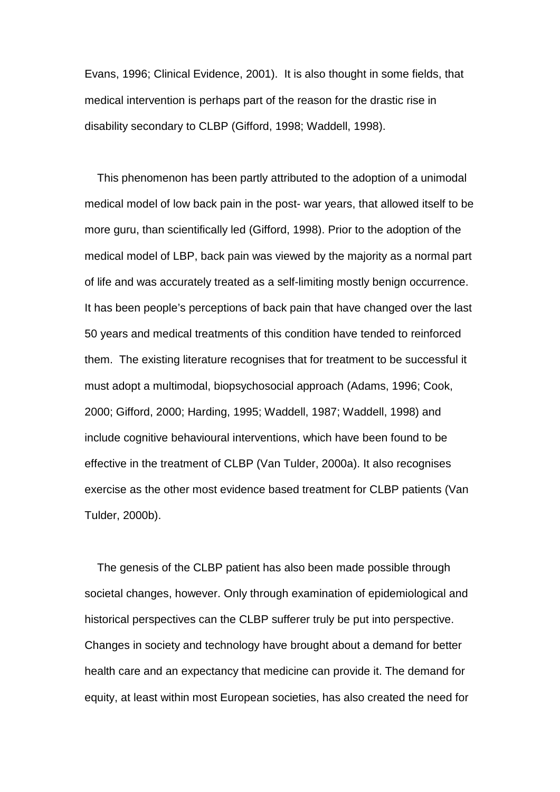Evans, 1996; Clinical Evidence, 2001). It is also thought in some fields, that medical intervention is perhaps part of the reason for the drastic rise in disability secondary to CLBP (Gifford, 1998; Waddell, 1998).

 This phenomenon has been partly attributed to the adoption of a unimodal medical model of low back pain in the post- war years, that allowed itself to be more guru, than scientifically led (Gifford, 1998). Prior to the adoption of the medical model of LBP, back pain was viewed by the majority as a normal part of life and was accurately treated as a self-limiting mostly benign occurrence. It has been people's perceptions of back pain that have changed over the last 50 years and medical treatments of this condition have tended to reinforced them. The existing literature recognises that for treatment to be successful it must adopt a multimodal, biopsychosocial approach (Adams, 1996; Cook, 2000; Gifford, 2000; Harding, 1995; Waddell, 1987; Waddell, 1998) and include cognitive behavioural interventions, which have been found to be effective in the treatment of CLBP (Van Tulder, 2000a). It also recognises exercise as the other most evidence based treatment for CLBP patients (Van Tulder, 2000b).

 The genesis of the CLBP patient has also been made possible through societal changes, however. Only through examination of epidemiological and historical perspectives can the CLBP sufferer truly be put into perspective. Changes in society and technology have brought about a demand for better health care and an expectancy that medicine can provide it. The demand for equity, at least within most European societies, has also created the need for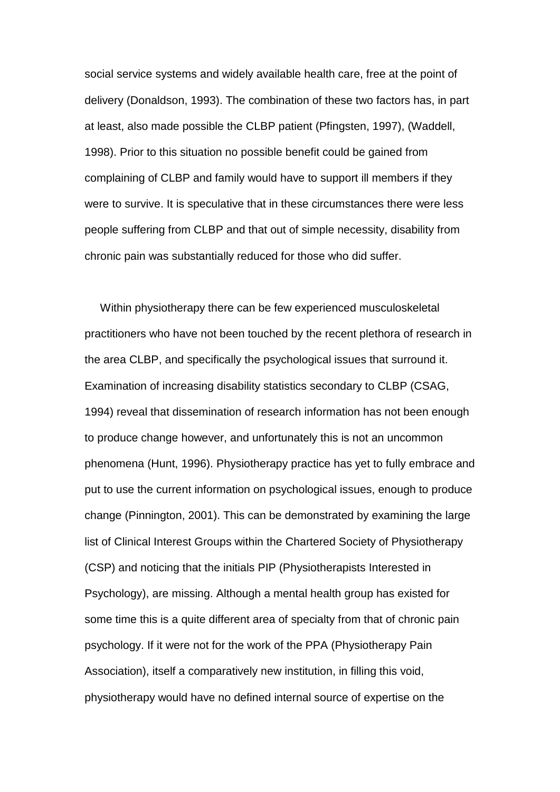social service systems and widely available health care, free at the point of delivery (Donaldson, 1993). The combination of these two factors has, in part at least, also made possible the CLBP patient (Pfingsten, 1997), (Waddell, 1998). Prior to this situation no possible benefit could be gained from complaining of CLBP and family would have to support ill members if they were to survive. It is speculative that in these circumstances there were less people suffering from CLBP and that out of simple necessity, disability from chronic pain was substantially reduced for those who did suffer.

 Within physiotherapy there can be few experienced musculoskeletal practitioners who have not been touched by the recent plethora of research in the area CLBP, and specifically the psychological issues that surround it. Examination of increasing disability statistics secondary to CLBP (CSAG, 1994) reveal that dissemination of research information has not been enough to produce change however, and unfortunately this is not an uncommon phenomena (Hunt, 1996). Physiotherapy practice has yet to fully embrace and put to use the current information on psychological issues, enough to produce change (Pinnington, 2001). This can be demonstrated by examining the large list of Clinical Interest Groups within the Chartered Society of Physiotherapy (CSP) and noticing that the initials PIP (Physiotherapists Interested in Psychology), are missing. Although a mental health group has existed for some time this is a quite different area of specialty from that of chronic pain psychology. If it were not for the work of the PPA (Physiotherapy Pain Association), itself a comparatively new institution, in filling this void, physiotherapy would have no defined internal source of expertise on the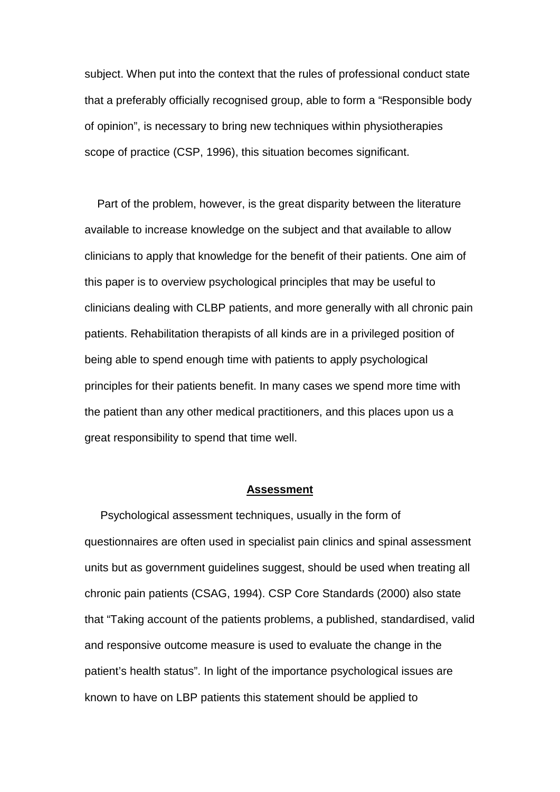subject. When put into the context that the rules of professional conduct state that a preferably officially recognised group, able to form a "Responsible body of opinion", is necessary to bring new techniques within physiotherapies scope of practice (CSP, 1996), this situation becomes significant.

 Part of the problem, however, is the great disparity between the literature available to increase knowledge on the subject and that available to allow clinicians to apply that knowledge for the benefit of their patients. One aim of this paper is to overview psychological principles that may be useful to clinicians dealing with CLBP patients, and more generally with all chronic pain patients. Rehabilitation therapists of all kinds are in a privileged position of being able to spend enough time with patients to apply psychological principles for their patients benefit. In many cases we spend more time with the patient than any other medical practitioners, and this places upon us a great responsibility to spend that time well.

### **Assessment**

 Psychological assessment techniques, usually in the form of questionnaires are often used in specialist pain clinics and spinal assessment units but as government guidelines suggest, should be used when treating all chronic pain patients (CSAG, 1994). CSP Core Standards (2000) also state that "Taking account of the patients problems, a published, standardised, valid and responsive outcome measure is used to evaluate the change in the patient's health status". In light of the importance psychological issues are known to have on LBP patients this statement should be applied to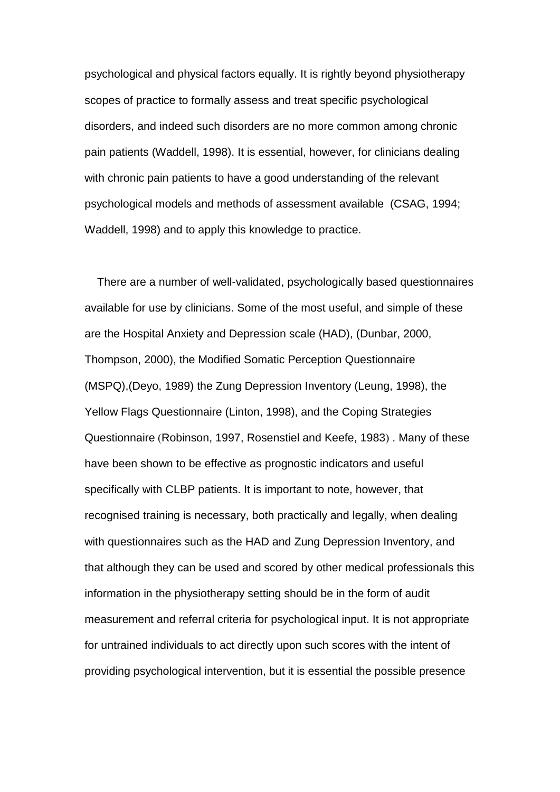psychological and physical factors equally. It is rightly beyond physiotherapy scopes of practice to formally assess and treat specific psychological disorders, and indeed such disorders are no more common among chronic pain patients (Waddell, 1998). It is essential, however, for clinicians dealing with chronic pain patients to have a good understanding of the relevant psychological models and methods of assessment available (CSAG, 1994; Waddell, 1998) and to apply this knowledge to practice.

 There are a number of well-validated, psychologically based questionnaires available for use by clinicians. Some of the most useful, and simple of these are the Hospital Anxiety and Depression scale (HAD), (Dunbar, 2000, Thompson, 2000), the Modified Somatic Perception Questionnaire (MSPQ),(Deyo, 1989) the Zung Depression Inventory (Leung, 1998), the Yellow Flags Questionnaire (Linton, 1998), and the Coping Strategies Questionnaire (Robinson, 1997, Rosenstiel and Keefe, 1983) . Many of these have been shown to be effective as prognostic indicators and useful specifically with CLBP patients. It is important to note, however, that recognised training is necessary, both practically and legally, when dealing with questionnaires such as the HAD and Zung Depression Inventory, and that although they can be used and scored by other medical professionals this information in the physiotherapy setting should be in the form of audit measurement and referral criteria for psychological input. It is not appropriate for untrained individuals to act directly upon such scores with the intent of providing psychological intervention, but it is essential the possible presence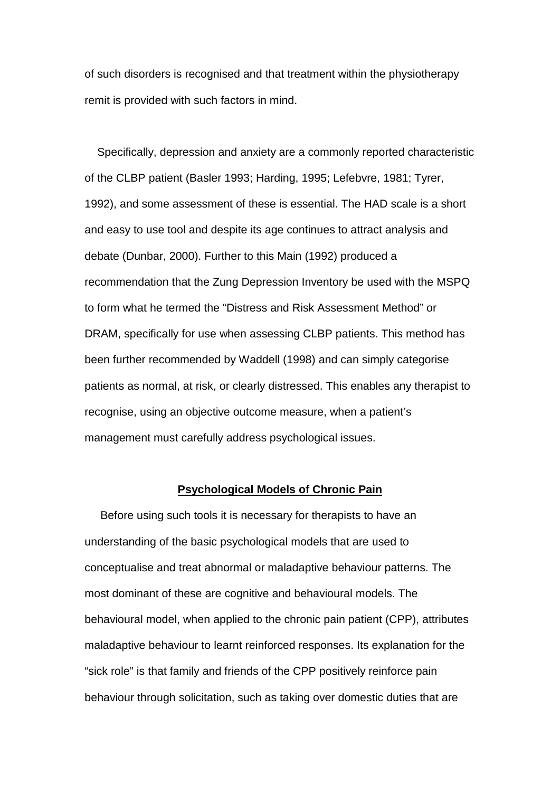of such disorders is recognised and that treatment within the physiotherapy remit is provided with such factors in mind.

 Specifically, depression and anxiety are a commonly reported characteristic of the CLBP patient (Basler 1993; Harding, 1995; Lefebvre, 1981; Tyrer, 1992), and some assessment of these is essential. The HAD scale is a short and easy to use tool and despite its age continues to attract analysis and debate (Dunbar, 2000). Further to this Main (1992) produced a recommendation that the Zung Depression Inventory be used with the MSPQ to form what he termed the "Distress and Risk Assessment Method" or DRAM, specifically for use when assessing CLBP patients. This method has been further recommended by Waddell (1998) and can simply categorise patients as normal, at risk, or clearly distressed. This enables any therapist to recognise, using an objective outcome measure, when a patient's management must carefully address psychological issues.

## **Psychological Models of Chronic Pain**

 Before using such tools it is necessary for therapists to have an understanding of the basic psychological models that are used to conceptualise and treat abnormal or maladaptive behaviour patterns. The most dominant of these are cognitive and behavioural models. The behavioural model, when applied to the chronic pain patient (CPP), attributes maladaptive behaviour to learnt reinforced responses. Its explanation for the "sick role" is that family and friends of the CPP positively reinforce pain behaviour through solicitation, such as taking over domestic duties that are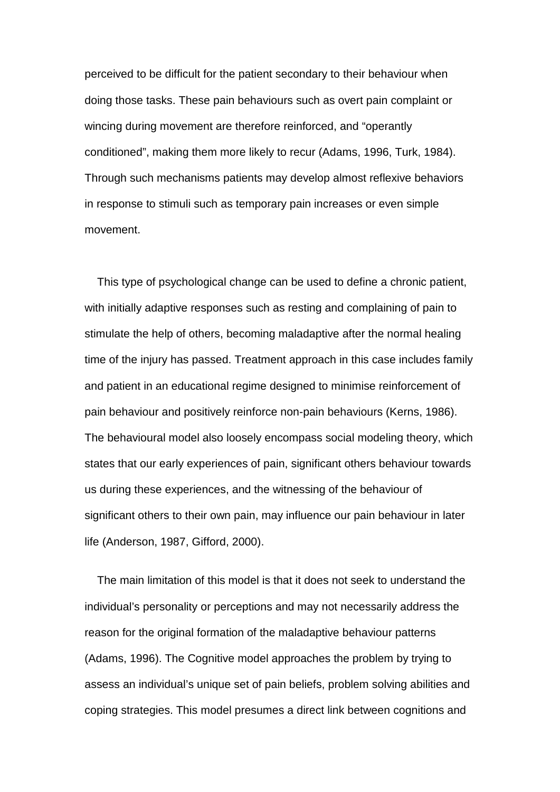perceived to be difficult for the patient secondary to their behaviour when doing those tasks. These pain behaviours such as overt pain complaint or wincing during movement are therefore reinforced, and "operantly conditioned", making them more likely to recur (Adams, 1996, Turk, 1984). Through such mechanisms patients may develop almost reflexive behaviors in response to stimuli such as temporary pain increases or even simple movement.

 This type of psychological change can be used to define a chronic patient, with initially adaptive responses such as resting and complaining of pain to stimulate the help of others, becoming maladaptive after the normal healing time of the injury has passed. Treatment approach in this case includes family and patient in an educational regime designed to minimise reinforcement of pain behaviour and positively reinforce non-pain behaviours (Kerns, 1986). The behavioural model also loosely encompass social modeling theory, which states that our early experiences of pain, significant others behaviour towards us during these experiences, and the witnessing of the behaviour of significant others to their own pain, may influence our pain behaviour in later life (Anderson, 1987, Gifford, 2000).

 The main limitation of this model is that it does not seek to understand the individual's personality or perceptions and may not necessarily address the reason for the original formation of the maladaptive behaviour patterns (Adams, 1996). The Cognitive model approaches the problem by trying to assess an individual's unique set of pain beliefs, problem solving abilities and coping strategies. This model presumes a direct link between cognitions and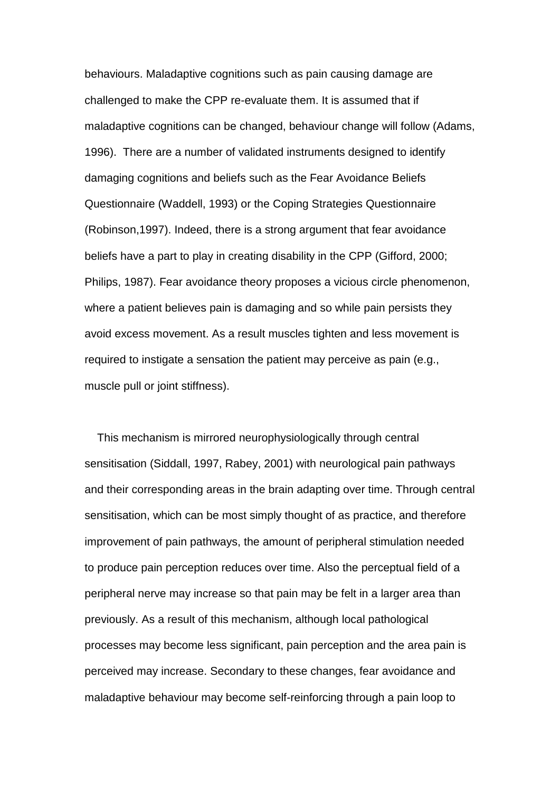behaviours. Maladaptive cognitions such as pain causing damage are challenged to make the CPP re-evaluate them. It is assumed that if maladaptive cognitions can be changed, behaviour change will follow (Adams, 1996). There are a number of validated instruments designed to identify damaging cognitions and beliefs such as the Fear Avoidance Beliefs Questionnaire (Waddell, 1993) or the Coping Strategies Questionnaire (Robinson,1997). Indeed, there is a strong argument that fear avoidance beliefs have a part to play in creating disability in the CPP (Gifford, 2000; Philips, 1987). Fear avoidance theory proposes a vicious circle phenomenon, where a patient believes pain is damaging and so while pain persists they avoid excess movement. As a result muscles tighten and less movement is required to instigate a sensation the patient may perceive as pain (e.g., muscle pull or joint stiffness).

 This mechanism is mirrored neurophysiologically through central sensitisation (Siddall, 1997, Rabey, 2001) with neurological pain pathways and their corresponding areas in the brain adapting over time. Through central sensitisation, which can be most simply thought of as practice, and therefore improvement of pain pathways, the amount of peripheral stimulation needed to produce pain perception reduces over time. Also the perceptual field of a peripheral nerve may increase so that pain may be felt in a larger area than previously. As a result of this mechanism, although local pathological processes may become less significant, pain perception and the area pain is perceived may increase. Secondary to these changes, fear avoidance and maladaptive behaviour may become self-reinforcing through a pain loop to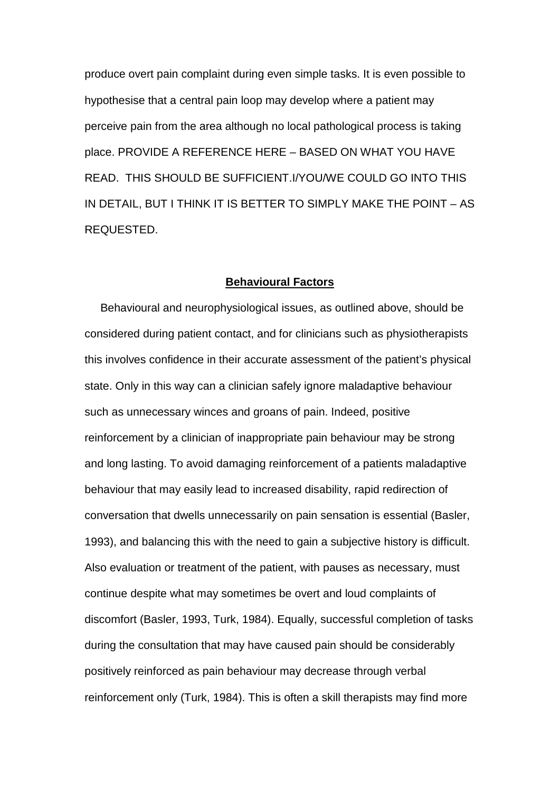produce overt pain complaint during even simple tasks. It is even possible to hypothesise that a central pain loop may develop where a patient may perceive pain from the area although no local pathological process is taking place. PROVIDE A REFERENCE HERE – BASED ON WHAT YOU HAVE READ. THIS SHOULD BE SUFFICIENT.I/YOU/WE COULD GO INTO THIS IN DETAIL, BUT I THINK IT IS BETTER TO SIMPLY MAKE THE POINT – AS REQUESTED.

### **Behavioural Factors**

 Behavioural and neurophysiological issues, as outlined above, should be considered during patient contact, and for clinicians such as physiotherapists this involves confidence in their accurate assessment of the patient's physical state. Only in this way can a clinician safely ignore maladaptive behaviour such as unnecessary winces and groans of pain. Indeed, positive reinforcement by a clinician of inappropriate pain behaviour may be strong and long lasting. To avoid damaging reinforcement of a patients maladaptive behaviour that may easily lead to increased disability, rapid redirection of conversation that dwells unnecessarily on pain sensation is essential (Basler, 1993), and balancing this with the need to gain a subjective history is difficult. Also evaluation or treatment of the patient, with pauses as necessary, must continue despite what may sometimes be overt and loud complaints of discomfort (Basler, 1993, Turk, 1984). Equally, successful completion of tasks during the consultation that may have caused pain should be considerably positively reinforced as pain behaviour may decrease through verbal reinforcement only (Turk, 1984). This is often a skill therapists may find more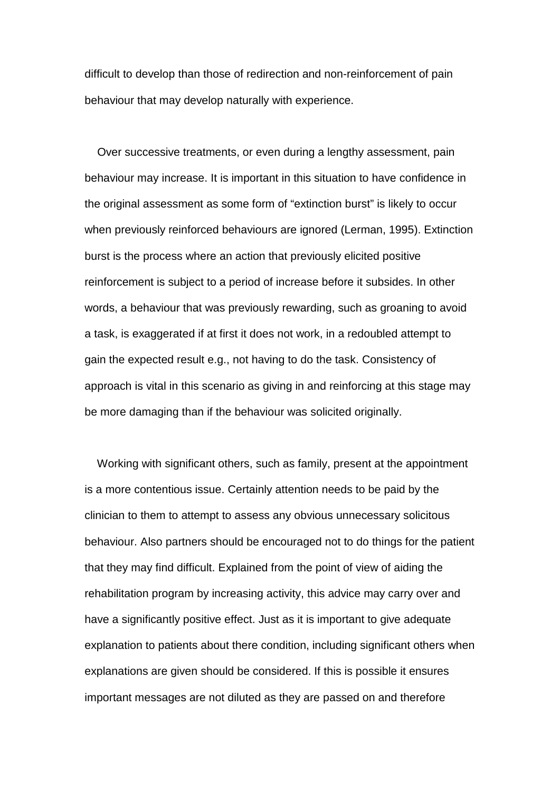difficult to develop than those of redirection and non-reinforcement of pain behaviour that may develop naturally with experience.

 Over successive treatments, or even during a lengthy assessment, pain behaviour may increase. It is important in this situation to have confidence in the original assessment as some form of "extinction burst" is likely to occur when previously reinforced behaviours are ignored (Lerman, 1995). Extinction burst is the process where an action that previously elicited positive reinforcement is subject to a period of increase before it subsides. In other words, a behaviour that was previously rewarding, such as groaning to avoid a task, is exaggerated if at first it does not work, in a redoubled attempt to gain the expected result e.g., not having to do the task. Consistency of approach is vital in this scenario as giving in and reinforcing at this stage may be more damaging than if the behaviour was solicited originally.

 Working with significant others, such as family, present at the appointment is a more contentious issue. Certainly attention needs to be paid by the clinician to them to attempt to assess any obvious unnecessary solicitous behaviour. Also partners should be encouraged not to do things for the patient that they may find difficult. Explained from the point of view of aiding the rehabilitation program by increasing activity, this advice may carry over and have a significantly positive effect. Just as it is important to give adequate explanation to patients about there condition, including significant others when explanations are given should be considered. If this is possible it ensures important messages are not diluted as they are passed on and therefore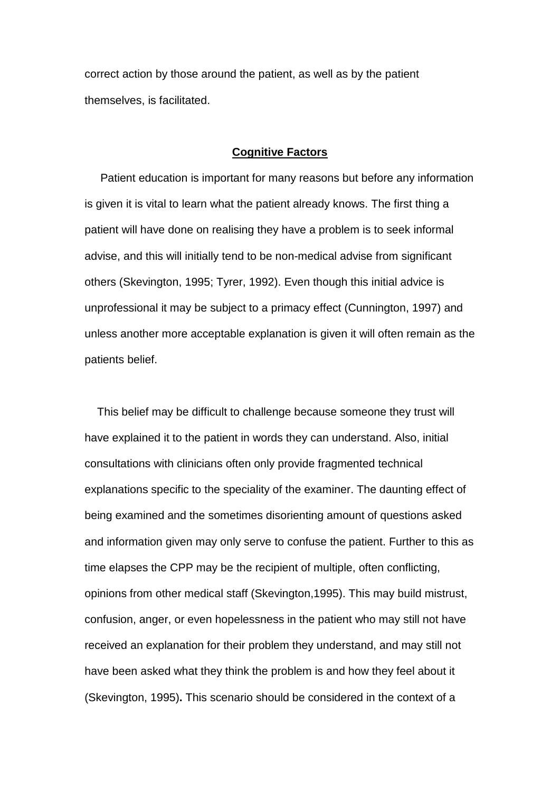correct action by those around the patient, as well as by the patient themselves, is facilitated.

## **Cognitive Factors**

Patient education is important for many reasons but before any information is given it is vital to learn what the patient already knows. The first thing a patient will have done on realising they have a problem is to seek informal advise, and this will initially tend to be non-medical advise from significant others (Skevington, 1995; Tyrer, 1992). Even though this initial advice is unprofessional it may be subject to a primacy effect (Cunnington, 1997) and unless another more acceptable explanation is given it will often remain as the patients belief.

 This belief may be difficult to challenge because someone they trust will have explained it to the patient in words they can understand. Also, initial consultations with clinicians often only provide fragmented technical explanations specific to the speciality of the examiner. The daunting effect of being examined and the sometimes disorienting amount of questions asked and information given may only serve to confuse the patient. Further to this as time elapses the CPP may be the recipient of multiple, often conflicting, opinions from other medical staff (Skevington,1995). This may build mistrust, confusion, anger, or even hopelessness in the patient who may still not have received an explanation for their problem they understand, and may still not have been asked what they think the problem is and how they feel about it (Skevington, 1995)**.** This scenario should be considered in the context of a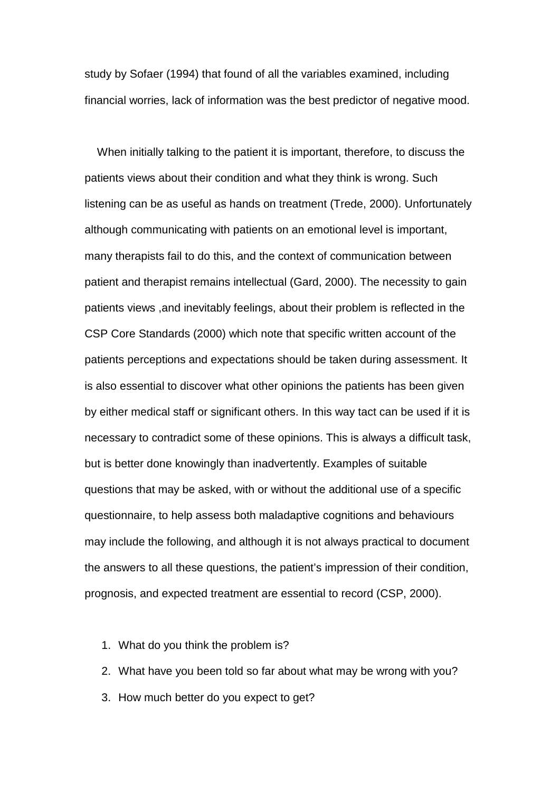study by Sofaer (1994) that found of all the variables examined, including financial worries, lack of information was the best predictor of negative mood.

 When initially talking to the patient it is important, therefore, to discuss the patients views about their condition and what they think is wrong. Such listening can be as useful as hands on treatment (Trede, 2000). Unfortunately although communicating with patients on an emotional level is important, many therapists fail to do this, and the context of communication between patient and therapist remains intellectual (Gard, 2000). The necessity to gain patients views ,and inevitably feelings, about their problem is reflected in the CSP Core Standards (2000) which note that specific written account of the patients perceptions and expectations should be taken during assessment. It is also essential to discover what other opinions the patients has been given by either medical staff or significant others. In this way tact can be used if it is necessary to contradict some of these opinions. This is always a difficult task, but is better done knowingly than inadvertently. Examples of suitable questions that may be asked, with or without the additional use of a specific questionnaire, to help assess both maladaptive cognitions and behaviours may include the following, and although it is not always practical to document the answers to all these questions, the patient's impression of their condition, prognosis, and expected treatment are essential to record (CSP, 2000).

- 1. What do you think the problem is?
- 2. What have you been told so far about what may be wrong with you?
- 3. How much better do you expect to get?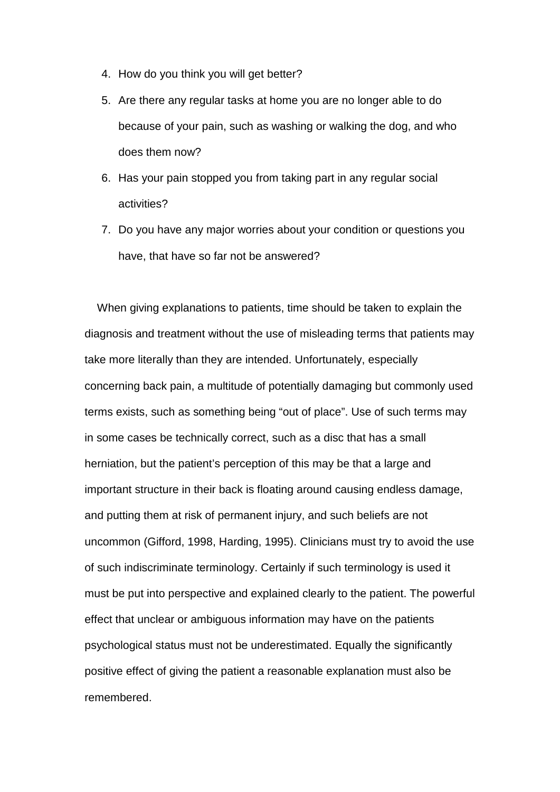- 4. How do you think you will get better?
- 5. Are there any regular tasks at home you are no longer able to do because of your pain, such as washing or walking the dog, and who does them now?
- 6. Has your pain stopped you from taking part in any regular social activities?
- 7. Do you have any major worries about your condition or questions you have, that have so far not be answered?

 When giving explanations to patients, time should be taken to explain the diagnosis and treatment without the use of misleading terms that patients may take more literally than they are intended. Unfortunately, especially concerning back pain, a multitude of potentially damaging but commonly used terms exists, such as something being "out of place". Use of such terms may in some cases be technically correct, such as a disc that has a small herniation, but the patient's perception of this may be that a large and important structure in their back is floating around causing endless damage, and putting them at risk of permanent injury, and such beliefs are not uncommon (Gifford, 1998, Harding, 1995). Clinicians must try to avoid the use of such indiscriminate terminology. Certainly if such terminology is used it must be put into perspective and explained clearly to the patient. The powerful effect that unclear or ambiguous information may have on the patients psychological status must not be underestimated. Equally the significantly positive effect of giving the patient a reasonable explanation must also be remembered.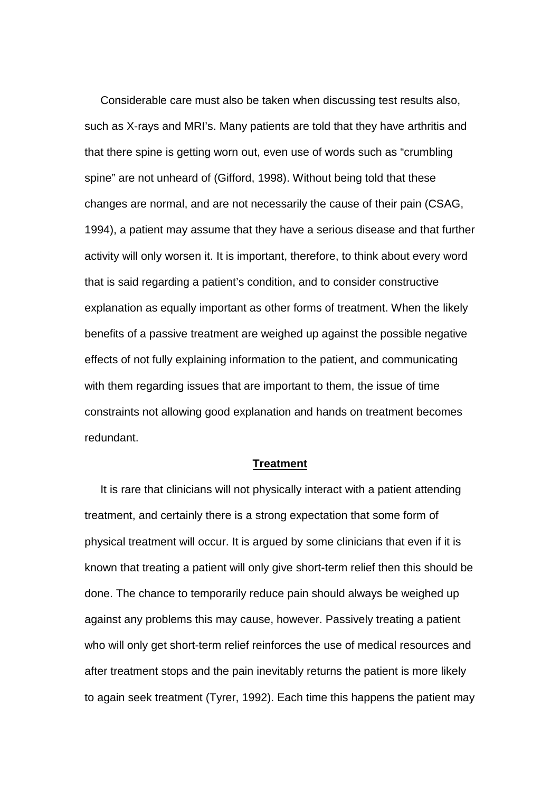Considerable care must also be taken when discussing test results also, such as X-rays and MRI's. Many patients are told that they have arthritis and that there spine is getting worn out, even use of words such as "crumbling spine" are not unheard of (Gifford, 1998). Without being told that these changes are normal, and are not necessarily the cause of their pain (CSAG, 1994), a patient may assume that they have a serious disease and that further activity will only worsen it. It is important, therefore, to think about every word that is said regarding a patient's condition, and to consider constructive explanation as equally important as other forms of treatment. When the likely benefits of a passive treatment are weighed up against the possible negative effects of not fully explaining information to the patient, and communicating with them regarding issues that are important to them, the issue of time constraints not allowing good explanation and hands on treatment becomes redundant.

#### **Treatment**

 It is rare that clinicians will not physically interact with a patient attending treatment, and certainly there is a strong expectation that some form of physical treatment will occur. It is argued by some clinicians that even if it is known that treating a patient will only give short-term relief then this should be done. The chance to temporarily reduce pain should always be weighed up against any problems this may cause, however. Passively treating a patient who will only get short-term relief reinforces the use of medical resources and after treatment stops and the pain inevitably returns the patient is more likely to again seek treatment (Tyrer, 1992). Each time this happens the patient may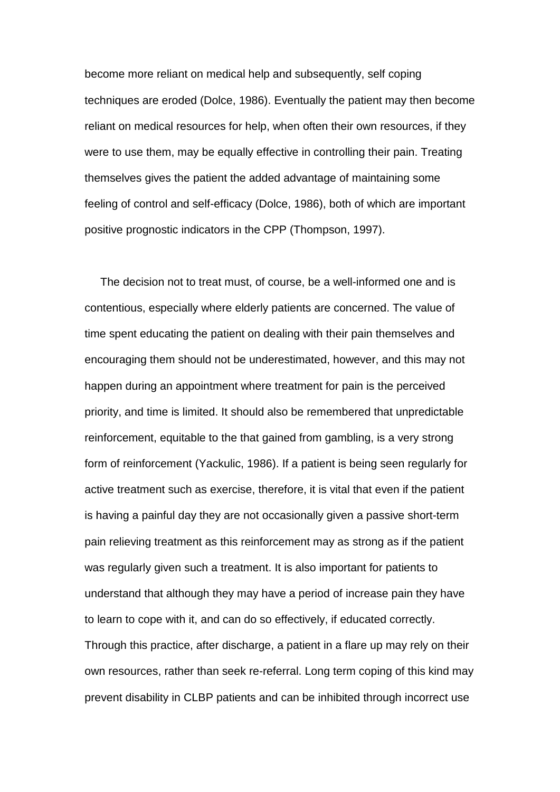become more reliant on medical help and subsequently, self coping techniques are eroded (Dolce, 1986). Eventually the patient may then become reliant on medical resources for help, when often their own resources, if they were to use them, may be equally effective in controlling their pain. Treating themselves gives the patient the added advantage of maintaining some feeling of control and self-efficacy (Dolce, 1986), both of which are important positive prognostic indicators in the CPP (Thompson, 1997).

 The decision not to treat must, of course, be a well-informed one and is contentious, especially where elderly patients are concerned. The value of time spent educating the patient on dealing with their pain themselves and encouraging them should not be underestimated, however, and this may not happen during an appointment where treatment for pain is the perceived priority, and time is limited. It should also be remembered that unpredictable reinforcement, equitable to the that gained from gambling, is a very strong form of reinforcement (Yackulic, 1986). If a patient is being seen regularly for active treatment such as exercise, therefore, it is vital that even if the patient is having a painful day they are not occasionally given a passive short-term pain relieving treatment as this reinforcement may as strong as if the patient was regularly given such a treatment. It is also important for patients to understand that although they may have a period of increase pain they have to learn to cope with it, and can do so effectively, if educated correctly. Through this practice, after discharge, a patient in a flare up may rely on their own resources, rather than seek re-referral. Long term coping of this kind may prevent disability in CLBP patients and can be inhibited through incorrect use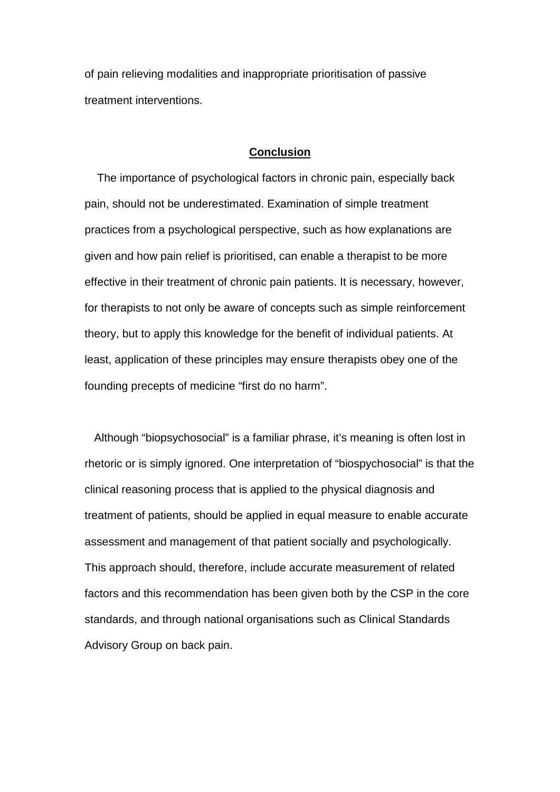of pain relieving modalities and inappropriate prioritisation of passive treatment interventions.

### **Conclusion**

 The importance of psychological factors in chronic pain, especially back pain, should not be underestimated. Examination of simple treatment practices from a psychological perspective, such as how explanations are given and how pain relief is prioritised, can enable a therapist to be more effective in their treatment of chronic pain patients. It is necessary, however, for therapists to not only be aware of concepts such as simple reinforcement theory, but to apply this knowledge for the benefit of individual patients. At least, application of these principles may ensure therapists obey one of the founding precepts of medicine "first do no harm".

 Although "biopsychosocial" is a familiar phrase, it's meaning is often lost in rhetoric or is simply ignored. One interpretation of "biospychosocial" is that the clinical reasoning process that is applied to the physical diagnosis and treatment of patients, should be applied in equal measure to enable accurate assessment and management of that patient socially and psychologically. This approach should, therefore, include accurate measurement of related factors and this recommendation has been given both by the CSP in the core standards, and through national organisations such as Clinical Standards Advisory Group on back pain.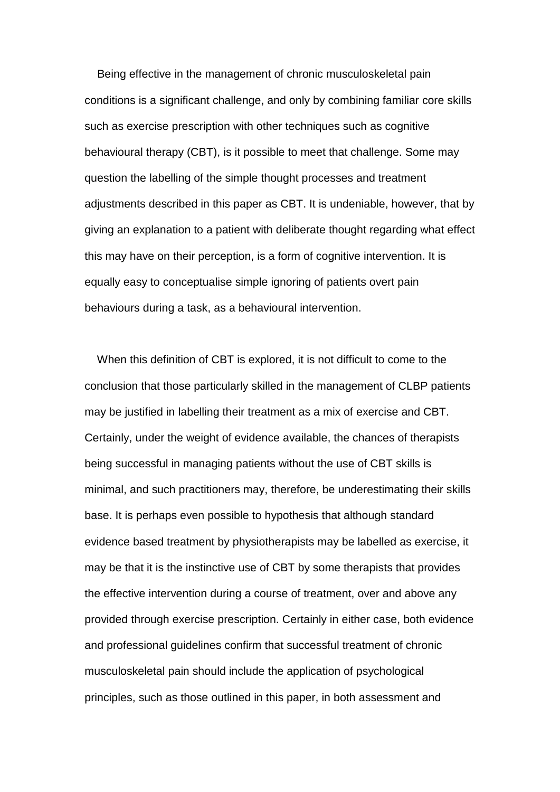Being effective in the management of chronic musculoskeletal pain conditions is a significant challenge, and only by combining familiar core skills such as exercise prescription with other techniques such as cognitive behavioural therapy (CBT), is it possible to meet that challenge. Some may question the labelling of the simple thought processes and treatment adjustments described in this paper as CBT. It is undeniable, however, that by giving an explanation to a patient with deliberate thought regarding what effect this may have on their perception, is a form of cognitive intervention. It is equally easy to conceptualise simple ignoring of patients overt pain behaviours during a task, as a behavioural intervention.

 When this definition of CBT is explored, it is not difficult to come to the conclusion that those particularly skilled in the management of CLBP patients may be justified in labelling their treatment as a mix of exercise and CBT. Certainly, under the weight of evidence available, the chances of therapists being successful in managing patients without the use of CBT skills is minimal, and such practitioners may, therefore, be underestimating their skills base. It is perhaps even possible to hypothesis that although standard evidence based treatment by physiotherapists may be labelled as exercise, it may be that it is the instinctive use of CBT by some therapists that provides the effective intervention during a course of treatment, over and above any provided through exercise prescription. Certainly in either case, both evidence and professional guidelines confirm that successful treatment of chronic musculoskeletal pain should include the application of psychological principles, such as those outlined in this paper, in both assessment and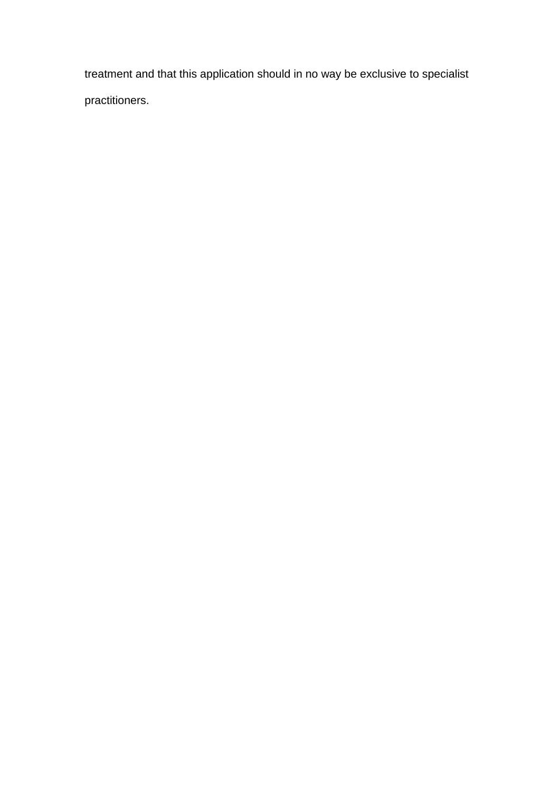treatment and that this application should in no way be exclusive to specialist practitioners.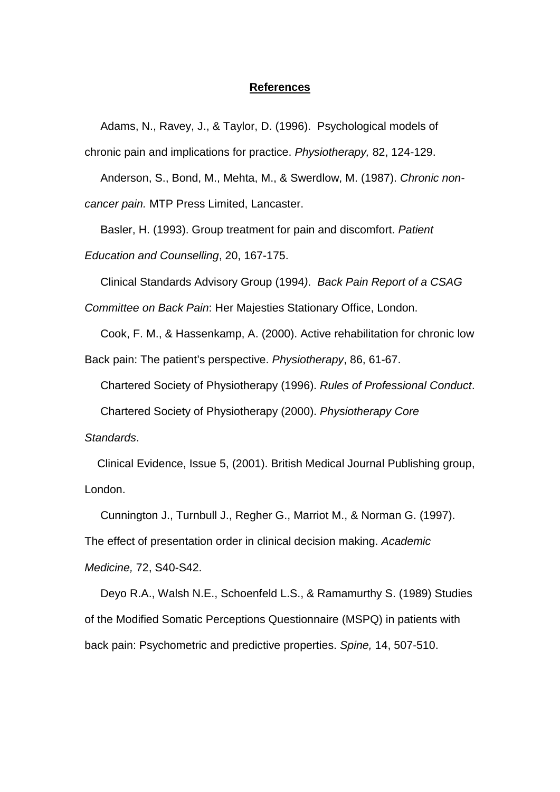### **References**

Adams, N., Ravey, J., & Taylor, D. (1996). Psychological models of

chronic pain and implications for practice. *Physiotherapy,* 82, 124-129.

 Anderson, S., Bond, M., Mehta, M., & Swerdlow, M. (1987). *Chronic noncancer pain.* MTP Press Limited, Lancaster.

 Basler, H. (1993). Group treatment for pain and discomfort. *Patient Education and Counselling*, 20, 167-175.

Clinical Standards Advisory Group (1994*)*. *Back Pain Report of a CSAG* 

*Committee on Back Pain*: Her Majesties Stationary Office, London.

Cook, F. M., & Hassenkamp, A. (2000). Active rehabilitation for chronic low

Back pain: The patient's perspective. *Physiotherapy*, 86, 61-67.

Chartered Society of Physiotherapy (1996). *Rules of Professional Conduct*.

Chartered Society of Physiotherapy (2000). *Physiotherapy Core* 

*Standards*.

 Clinical Evidence, Issue 5, (2001). British Medical Journal Publishing group, London.

 Cunnington J., Turnbull J., Regher G., Marriot M., & Norman G. (1997). The effect of presentation order in clinical decision making. *Academic* 

*Medicine,* 72, S40-S42.

 Deyo R.A., Walsh N.E., Schoenfeld L.S., & Ramamurthy S. (1989) Studies of the Modified Somatic Perceptions Questionnaire (MSPQ) in patients with back pain: Psychometric and predictive properties. *Spine,* 14, 507-510.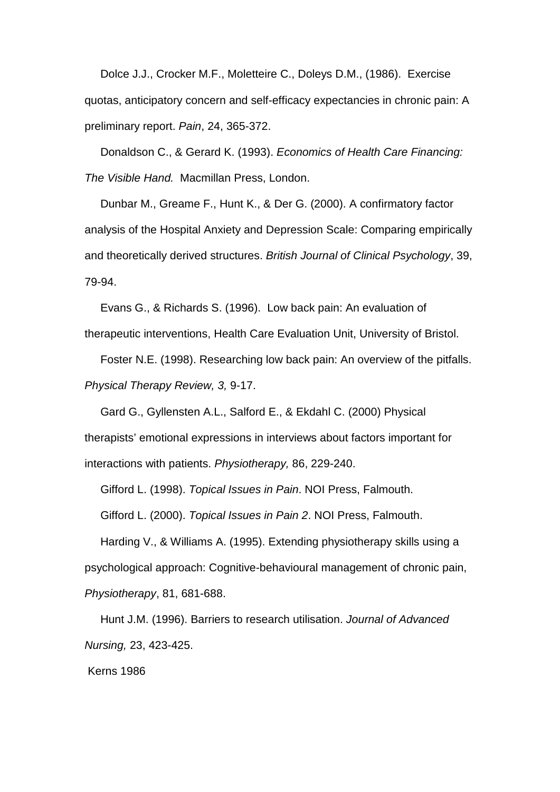Dolce J.J., Crocker M.F., Moletteire C., Doleys D.M., (1986). Exercise quotas, anticipatory concern and self-efficacy expectancies in chronic pain: A preliminary report. *Pain*, 24, 365-372.

 Donaldson C., & Gerard K. (1993). *Economics of Health Care Financing: The Visible Hand.* Macmillan Press, London.

 Dunbar M., Greame F., Hunt K., & Der G. (2000). A confirmatory factor analysis of the Hospital Anxiety and Depression Scale: Comparing empirically and theoretically derived structures. *British Journal of Clinical Psychology*, 39, 79-94.

 Evans G., & Richards S. (1996). Low back pain: An evaluation of therapeutic interventions, Health Care Evaluation Unit, University of Bristol.

 Foster N.E. (1998). Researching low back pain: An overview of the pitfalls. *Physical Therapy Review, 3,* 9-17.

 Gard G., Gyllensten A.L., Salford E., & Ekdahl C. (2000) Physical therapists' emotional expressions in interviews about factors important for interactions with patients. *Physiotherapy,* 86, 229-240.

Gifford L. (1998). *Topical Issues in Pain*. NOI Press, Falmouth.

Gifford L. (2000). *Topical Issues in Pain 2*. NOI Press, Falmouth.

 Harding V., & Williams A. (1995). Extending physiotherapy skills using a psychological approach: Cognitive-behavioural management of chronic pain, *Physiotherapy*, 81, 681-688.

Hunt J.M. (1996). Barriers to research utilisation. *Journal of Advanced Nursing,* 23, 423-425.

Kerns 1986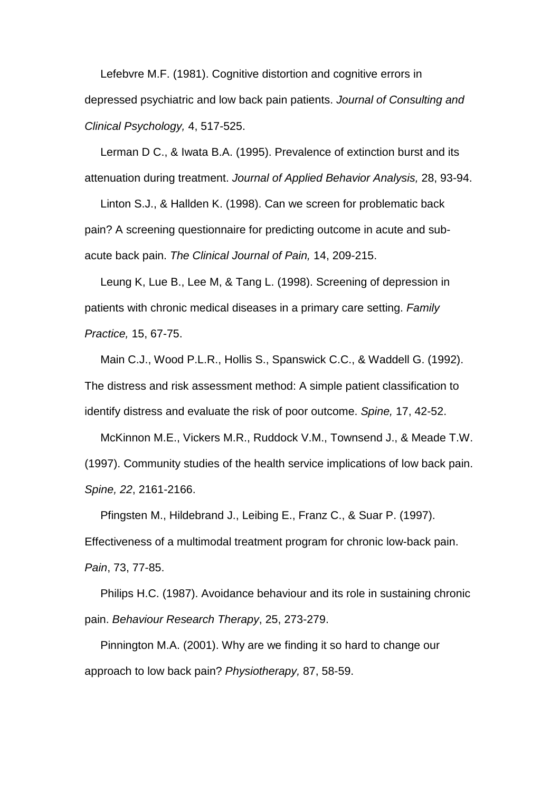Lefebvre M.F. (1981). Cognitive distortion and cognitive errors in depressed psychiatric and low back pain patients. *Journal of Consulting and Clinical Psychology,* 4, 517-525.

 Lerman D C., & Iwata B.A. (1995). Prevalence of extinction burst and its attenuation during treatment. *Journal of Applied Behavior Analysis,* 28, 93-94.

 Linton S.J., & Hallden K. (1998). Can we screen for problematic back pain? A screening questionnaire for predicting outcome in acute and subacute back pain. *The Clinical Journal of Pain,* 14, 209-215.

 Leung K, Lue B., Lee M, & Tang L. (1998). Screening of depression in patients with chronic medical diseases in a primary care setting. *Family Practice,* 15, 67-75.

 Main C.J., Wood P.L.R., Hollis S., Spanswick C.C., & Waddell G. (1992). The distress and risk assessment method: A simple patient classification to identify distress and evaluate the risk of poor outcome. *Spine,* 17, 42-52.

 McKinnon M.E., Vickers M.R., Ruddock V.M., Townsend J., & Meade T.W. (1997). Community studies of the health service implications of low back pain. *Spine, 22*, 2161-2166.

 Pfingsten M., Hildebrand J., Leibing E., Franz C., & Suar P. (1997). Effectiveness of a multimodal treatment program for chronic low-back pain. *Pain*, 73, 77-85.

 Philips H.C. (1987). Avoidance behaviour and its role in sustaining chronic pain. *Behaviour Research Therapy*, 25, 273-279.

 Pinnington M.A. (2001). Why are we finding it so hard to change our approach to low back pain? *Physiotherapy,* 87, 58-59.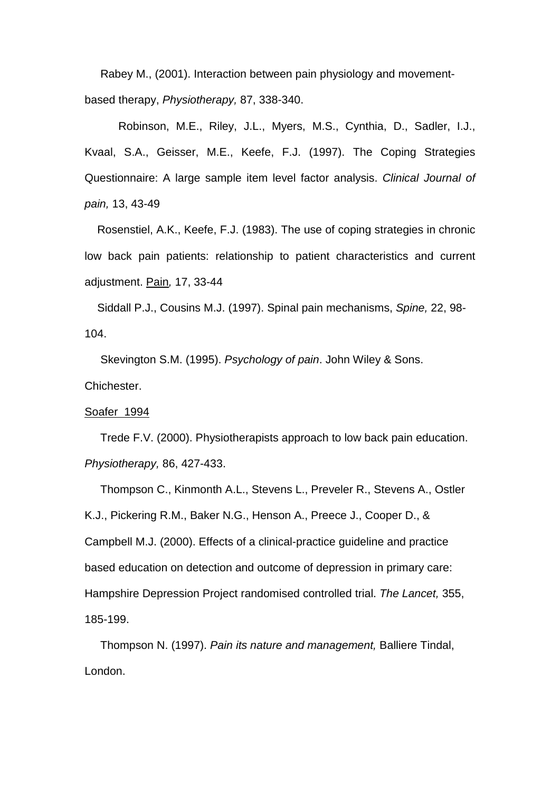Rabey M., (2001). Interaction between pain physiology and movementbased therapy, *Physiotherapy,* 87, 338-340.

Robinson, M.E., Riley, J.L., Myers, M.S., Cynthia, D., Sadler, I.J., Kvaal, S.A., Geisser, M.E., Keefe, F.J. (1997). The Coping Strategies Questionnaire: A large sample item level factor analysis. *Clinical Journal of pain,* 13, 43-49

 Rosenstiel, A.K., Keefe, F.J. (1983). The use of coping strategies in chronic low back pain patients: relationship to patient characteristics and current adjustment. Pain*,* 17, 33-44

 Siddall P.J., Cousins M.J. (1997). Spinal pain mechanisms, *Spine,* 22, 98- 104.

 Skevington S.M. (1995). *Psychology of pain*. John Wiley & Sons. Chichester.

#### Soafer 1994

 Trede F.V. (2000). Physiotherapists approach to low back pain education. *Physiotherapy,* 86, 427-433.

 Thompson C., Kinmonth A.L., Stevens L., Preveler R., Stevens A., Ostler K.J., Pickering R.M., Baker N.G., Henson A., Preece J., Cooper D., & Campbell M.J. (2000). Effects of a clinical-practice guideline and practice based education on detection and outcome of depression in primary care: Hampshire Depression Project randomised controlled trial. *The Lancet,* 355, 185-199.

 Thompson N. (1997). *Pain its nature and management,* Balliere Tindal, London.